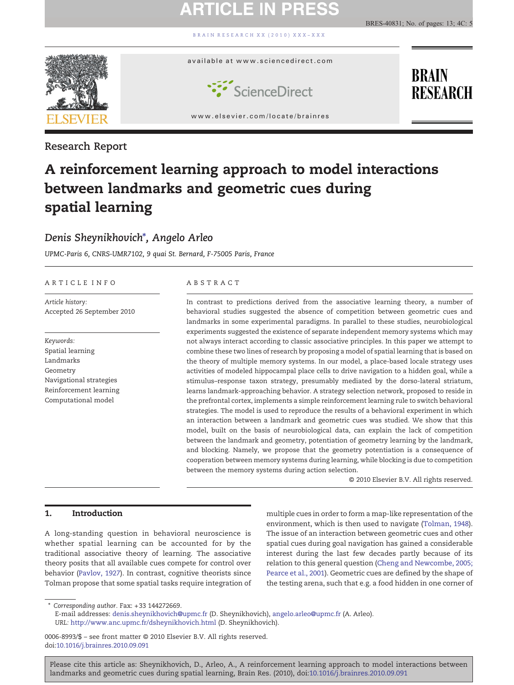# **ARTICLE IN PRESS**

[BRAIN RESEARCH XX \(2010\) XXX](http://dx.doi.org/10.1016/j.brainres.2010.09.091) – XXX



Research Report

**BRAIN RESEARCH** 

# A reinforcement learning approach to model interactions between landmarks and geometric cues during spatial learning

# Denis Sheynikhovich<sup>\*</sup>, Angelo Arleo

UPMC-Paris 6, CNRS-UMR7102, 9 quai St. Bernard, F-75005 Paris, France

## ARTICLE INFO ABSTRACT

Article history: Accepted 26 September 2010

Keywords: Spatial learning Landmarks Geometry Navigational strategies Reinforcement learning Computational model

In contrast to predictions derived from the associative learning theory, a number of behavioral studies suggested the absence of competition between geometric cues and landmarks in some experimental paradigms. In parallel to these studies, neurobiological experiments suggested the existence of separate independent memory systems which may not always interact according to classic associative principles. In this paper we attempt to combine these two lines of research by proposing a model of spatial learning that is based on the theory of multiple memory systems. In our model, a place-based locale strategy uses activities of modeled hippocampal place cells to drive navigation to a hidden goal, while a stimulus–response taxon strategy, presumably mediated by the dorso-lateral striatum, learns landmark-approaching behavior. A strategy selection network, proposed to reside in the prefrontal cortex, implements a simple reinforcement learning rule to switch behavioral strategies. The model is used to reproduce the results of a behavioral experiment in which an interaction between a landmark and geometric cues was studied. We show that this model, built on the basis of neurobiological data, can explain the lack of competition between the landmark and geometry, potentiation of geometry learning by the landmark, and blocking. Namely, we propose that the geometry potentiation is a consequence of cooperation between memory systems during learning, while blocking is due to competition between the memory systems during action selection.

© 2010 Elsevier B.V. All rights reserved.

# 1. Introduction

A long-standing question in behavioral neuroscience is whether spatial learning can be accounted for by the traditional associative theory of learning. The associative theory posits that all available cues compete for control over behavior [\(Pavlov, 1927](#page-12-0)). In contrast, cognitive theorists since Tolman propose that some spatial tasks require integration of

multiple cues in order to form a map-like representation of the environment, which is then used to navigate ([Tolman, 1948](#page-12-0)). The issue of an interaction between geometric cues and other spatial cues during goal navigation has gained a considerable interest during the last few decades partly because of its relation to this general question [\(Cheng and Newcombe, 2005;](#page-12-0) [Pearce et al., 2001](#page-12-0)). Geometric cues are defined by the shape of the testing arena, such that e.g. a food hidden in one corner of

⁎ Corresponding author. Fax: +33 144272669.

E-mail addresses: [denis.sheynikhovich@upmc.fr](mailto:denis.sheynikhovich@upmc.fr) (D. Sheynikhovich), [angelo.arleo@upmc.fr](mailto:angelo.arleo@upmc.fr) (A. Arleo). URL: <http://www.anc.upmc.fr/dsheynikhovich.html> (D. Sheynikhovich).

<sup>0006-8993/\$</sup> – see front matter © 2010 Elsevier B.V. All rights reserved. doi[:10.1016/j.brainres.2010.09.091](http://dx.doi.org/10.1016/j.brainres.2010.09.091)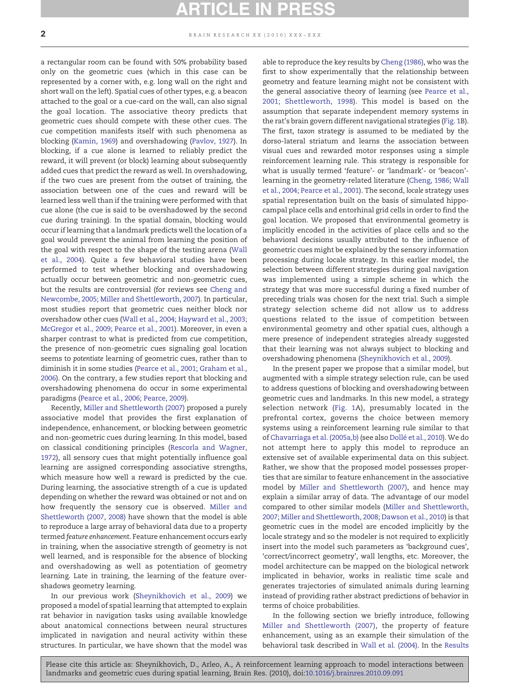# P

a rectangular room can be found with 50% probability based only on the geometric cues (which in this case can be represented by a corner with, e.g. long wall on the right and short wall on the left). Spatial cues of other types, e.g. a beacon attached to the goal or a cue-card on the wall, can also signal the goal location. The associative theory predicts that geometric cues should compete with these other cues. The cue competition manifests itself with such phenomena as blocking [\(Kamin, 1969](#page-12-0)) and overshadowing ([Pavlov, 1927\)](#page-12-0). In blocking, if a cue alone is learned to reliably predict the reward, it will prevent (or block) learning about subsequently added cues that predict the reward as well. In overshadowing, if the two cues are present from the outset of training, the association between one of the cues and reward will be learned less well than if the training were performed with that cue alone (the cue is said to be overshadowed by the second cue during training). In the spatial domain, blocking would occur if learning that a landmark predicts well the location of a goal would prevent the animal from learning the position of the goal with respect to the shape of the testing arena [\(Wall](#page-12-0) [et al., 2004](#page-12-0)). Quite a few behavioral studies have been performed to test whether blocking and overshadowing actually occur between geometric and non-geometric cues, but the results are controversial (for reviews see [Cheng and](#page-12-0) [Newcombe, 2005; Miller and Shettleworth, 2007\)](#page-12-0). In particular, most studies report that geometric cues neither block nor overshadow other cues ([Wall et al., 2004; Hayward et al., 2003;](#page-12-0) [McGregor et al., 2009; Pearce et al., 2001\)](#page-12-0). Moreover, in even a sharper contrast to what is predicted from cue competition, the presence of non-geometric cues signaling goal location seems to potentiate learning of geometric cues, rather than to diminish it in some studies ([Pearce et al., 2001; Graham et al.,](#page-12-0) [2006\)](#page-12-0). On the contrary, a few studies report that blocking and overshadowing phenomena do occur in some experimental paradigms [\(Pearce et al., 2006; Pearce, 2009\)](#page-12-0).

Recently, [Miller and Shettleworth \(2007\)](#page-12-0) proposed a purely associative model that provides the first explanation of independence, enhancement, or blocking between geometric and non-geometric cues during learning. In this model, based on classical conditioning principles ([Rescorla and Wagner,](#page-12-0) [1972\)](#page-12-0), all sensory cues that might potentially influence goal learning are assigned corresponding associative strengths, which measure how well a reward is predicted by the cue. During learning, the associative strength of a cue is updated depending on whether the reward was obtained or not and on how frequently the sensory cue is observed. [Miller and](#page-12-0) [Shettleworth \(2007, 2008\)](#page-12-0) have shown that the model is able to reproduce a large array of behavioral data due to a property termed feature enhancement. Feature enhancement occurs early in training, when the associative strength of geometry is not well learned, and is responsible for the absence of blocking and overshadowing as well as potentiation of geometry learning. Late in training, the learning of the feature overshadows geometry learning.

In our previous work [\(Sheynikhovich et al., 2009](#page-12-0)) we proposed a model of spatial learning that attempted to explain rat behavior in navigation tasks using available knowledge about anatomical connections between neural structures implicated in navigation and neural activity within these structures. In particular, we have shown that the model was

able to reproduce the key results by [Cheng \(1986\),](#page-12-0) who was the first to show experimentally that the relationship between geometry and feature learning might not be consistent with the general associative theory of learning (see [Pearce et al.,](#page-12-0) [2001; Shettleworth, 1998](#page-12-0)). This model is based on the assumption that separate independent memory systems in the rat's brain govern different navigational strategies [\(Fig. 1B](#page-2-0)). The first, taxon strategy is assumed to be mediated by the dorso-lateral striatum and learns the association between visual cues and rewarded motor responses using a simple reinforcement learning rule. This strategy is responsible for what is usually termed 'feature'- or 'landmark'- or 'beacon' learning in the geometry-related literature [\(Cheng, 1986; Wall](#page-12-0) [et al., 2004; Pearce et al., 2001](#page-12-0)). The second, locale strategy uses spatial representation built on the basis of simulated hippocampal place cells and entorhinal grid cells in order to find the goal location. We proposed that environmental geometry is implicitly encoded in the activities of place cells and so the behavioral decisions usually attributed to the influence of geometric cues might be explained by the sensory information processing during locale strategy. In this earlier model, the selection between different strategies during goal navigation was implemented using a simple scheme in which the strategy that was more successful during a fixed number of preceding trials was chosen for the next trial. Such a simple strategy selection scheme did not allow us to address questions related to the issue of competition between environmental geometry and other spatial cues, although a mere presence of independent strategies already suggested that their learning was not always subject to blocking and overshadowing phenomena ([Sheynikhovich et al., 2009](#page-12-0)).

In the present paper we propose that a similar model, but augmented with a simple strategy selection rule, can be used to address questions of blocking and overshadowing between geometric cues and landmarks. In this new model, a strategy selection network ([Fig. 1](#page-2-0)A), presumably located in the prefrontal cortex, governs the choice between memory systems using a reinforcement learning rule similar to that of [Chavarriaga et al. \(2005a,b\)](#page-12-0) (see also [Dollé et al., 2010\)](#page-12-0). We do not attempt here to apply this model to reproduce an extensive set of available experimental data on this subject. Rather, we show that the proposed model possesses properties that are similar to feature enhancement in the associative model by [Miller and Shettleworth \(2007\),](#page-12-0) and hence may explain a similar array of data. The advantage of our model compared to other similar models ([Miller and Shettleworth,](#page-12-0) [2007; Miller and Shettleworth, 2008; Dawson et al., 2010](#page-12-0)) is that geometric cues in the model are encoded implicitly by the locale strategy and so the modeler is not required to explicitly insert into the model such parameters as 'background cues', 'correct/incorrect geometry', wall lengths, etc. Moreover, the model architecture can be mapped on the biological network implicated in behavior, works in realistic time scale and generates trajectories of simulated animals during learning instead of providing rather abstract predictions of behavior in terms of choice probabilities.

In the following section we briefly introduce, following [Miller and Shettleworth \(2007\)](#page-12-0), the property of feature enhancement, using as an example their simulation of the behavioral task described in [Wall et al. \(2004\).](#page-12-0) In the [Results](#page-3-0)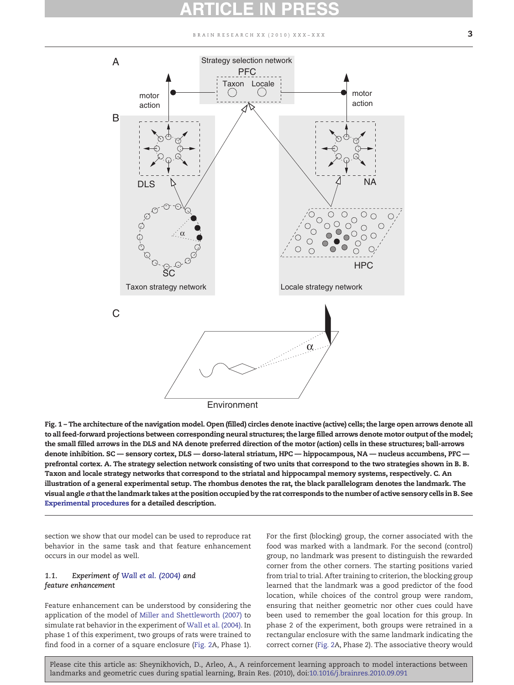BRAIN RESEARCH XX (2010) XXX-XXX  $\overline{\mathbf{3}}$ 

<span id="page-2-0"></span>

Fig. 1 – The architecture of the navigation model. Open (filled) circles denote inactive (active) cells; the large open arrows denote all to all feed-forward projections between corresponding neural structures; the large filled arrows denote motor output of the model; the small filled arrows in the DLS and NA denote preferred direction of the motor (action) cells in these structures; ball-arrows denote inhibition. SC — sensory cortex, DLS — dorso-lateral striatum, HPC — hippocampous, NA — nucleus accumbens, PFC prefrontal cortex. A. The strategy selection network consisting of two units that correspond to the two strategies shown in B. B. Taxon and locale strategy networks that correspond to the striatal and hippocampal memory systems, respectively. C. An illustration of a general experimental setup. The rhombus denotes the rat, the black parallelogram denotes the landmark. The visual angle α that the landmark takes at the position occupied by the rat corresponds to the number of active sensory cells in B. See [Experimental procedures](#page-9-0) for a detailed description.

section we show that our model can be used to reproduce rat behavior in the same task and that feature enhancement occurs in our model as well.

# 1.1. Experiment of [Wall et al. \(2004\)](#page-12-0) and feature enhancement

Feature enhancement can be understood by considering the application of the model of [Miller and Shettleworth \(2007\)](#page-12-0) to simulate rat behavior in the experiment of [Wall et al. \(2004\)](#page-12-0). In phase 1 of this experiment, two groups of rats were trained to find food in a corner of a square enclosure [\(Fig. 2A](#page-3-0), Phase 1).

For the first (blocking) group, the corner associated with the food was marked with a landmark. For the second (control) group, no landmark was present to distinguish the rewarded corner from the other corners. The starting positions varied from trial to trial. After training to criterion, the blocking group learned that the landmark was a good predictor of the food location, while choices of the control group were random, ensuring that neither geometric nor other cues could have been used to remember the goal location for this group. In phase 2 of the experiment, both groups were retrained in a rectangular enclosure with the same landmark indicating the correct corner ([Fig. 2A](#page-3-0), Phase 2). The associative theory would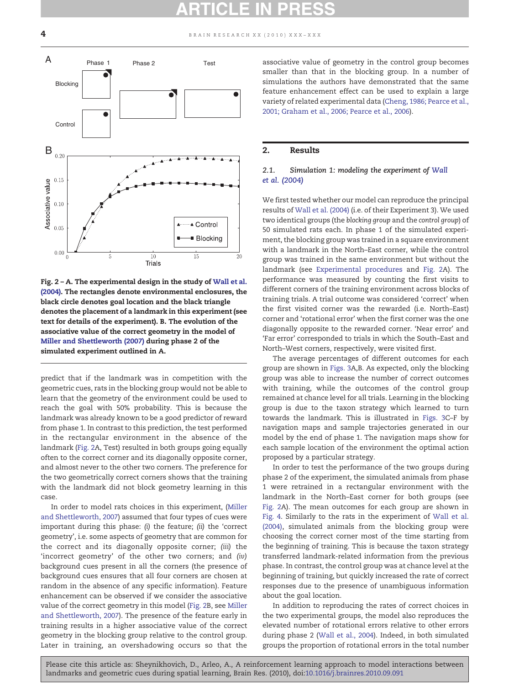<span id="page-3-0"></span>

Fig. 2 – A. The experimental design in the study of [Wall et al.](#page-12-0) [\(2004\)](#page-12-0). The rectangles denote environmental enclosures, the black circle denotes goal location and the black triangle denotes the placement of a landmark in this experiment (see text for details of the experiment). B. The evolution of the associative value of the correct geometry in the model of [Miller and Shettleworth \(2007\)](#page-12-0) during phase 2 of the simulated experiment outlined in A.

predict that if the landmark was in competition with the geometric cues, rats in the blocking group would not be able to learn that the geometry of the environment could be used to reach the goal with 50% probability. This is because the landmark was already known to be a good predictor of reward from phase 1. In contrast to this prediction, the test performed in the rectangular environment in the absence of the landmark (Fig. 2A, Test) resulted in both groups going equally often to the correct corner and its diagonally opposite corner, and almost never to the other two corners. The preference for the two geometrically correct corners shows that the training with the landmark did not block geometry learning in this case.

In order to model rats choices in this experiment, ([Miller](#page-12-0) [and Shettleworth, 2007\)](#page-12-0) assumed that four types of cues were important during this phase: (i) the feature; (ii) the 'correct geometry', i.e. some aspects of geometry that are common for the correct and its diagonally opposite corner; (iii) the 'incorrect geometry' of the other two corners; and (iv) background cues present in all the corners (the presence of background cues ensures that all four corners are chosen at random in the absence of any specific information). Feature enhancement can be observed if we consider the associative value of the correct geometry in this model (Fig. 2B, see [Miller](#page-12-0) [and Shettleworth, 2007\)](#page-12-0). The presence of the feature early in training results in a higher associative value of the correct geometry in the blocking group relative to the control group. Later in training, an overshadowing occurs so that the

associative value of geometry in the control group becomes smaller than that in the blocking group. In a number of simulations the authors have demonstrated that the same feature enhancement effect can be used to explain a large variety of related experimental data ([Cheng, 1986; Pearce et al.,](#page-12-0) [2001; Graham et al., 2006; Pearce et al., 2006\)](#page-12-0).

# 2. Results

# 2.1. Simulation 1: modeling the experiment of [Wall](#page-12-0) [et al. \(2004\)](#page-12-0)

We first tested whether our model can reproduce the principal results of [Wall et al. \(2004\)](#page-12-0) (i.e. of their Experiment 3). We used two identical groups (the blocking group and the control group) of 50 simulated rats each. In phase 1 of the simulated experiment, the blocking group was trained in a square environment with a landmark in the North–East corner, while the control group was trained in the same environment but without the landmark (see [Experimental procedures](#page-9-0) and Fig. 2A). The performance was measured by counting the first visits to different corners of the training environment across blocks of training trials. A trial outcome was considered 'correct' when the first visited corner was the rewarded (i.e. North–East) corner and 'rotational error' when the first corner was the one diagonally opposite to the rewarded corner. 'Near error' and 'Far error' corresponded to trials in which the South–East and North–West corners, respectively, were visited first.

The average percentages of different outcomes for each group are shown in [Figs. 3A](#page-4-0),B. As expected, only the blocking group was able to increase the number of correct outcomes with training, while the outcomes of the control group remained at chance level for all trials. Learning in the blocking group is due to the taxon strategy which learned to turn towards the landmark. This is illustrated in [Figs. 3](#page-4-0)C–F by navigation maps and sample trajectories generated in our model by the end of phase 1. The navigation maps show for each sample location of the environment the optimal action proposed by a particular strategy.

In order to test the performance of the two groups during phase 2 of the experiment, the simulated animals from phase 1 were retrained in a rectangular environment with the landmark in the North–East corner for both groups (see Fig. 2A). The mean outcomes for each group are shown in [Fig. 4.](#page-5-0) Similarly to the rats in the experiment of [Wall et al.](#page-12-0) [\(2004\)](#page-12-0), simulated animals from the blocking group were choosing the correct corner most of the time starting from the beginning of training. This is because the taxon strategy transferred landmark-related information from the previous phase. In contrast, the control group was at chance level at the beginning of training, but quickly increased the rate of correct responses due to the presence of unambiguous information about the goal location.

In addition to reproducing the rates of correct choices in the two experimental groups, the model also reproduces the elevated number of rotational errors relative to other errors during phase 2 [\(Wall et al., 2004](#page-12-0)). Indeed, in both simulated groups the proportion of rotational errors in the total number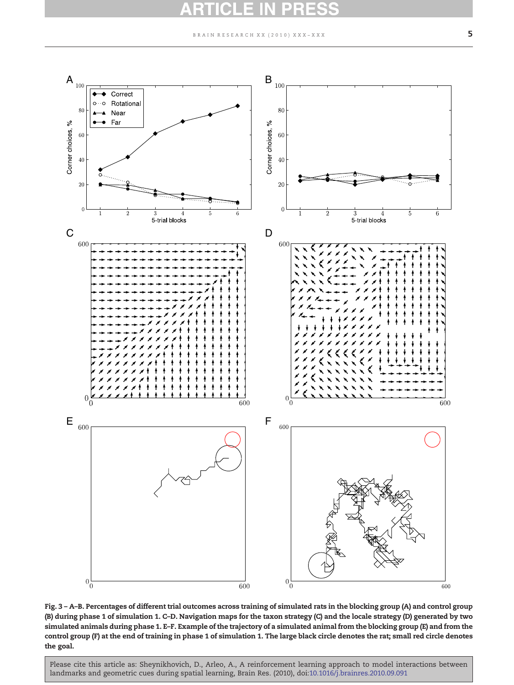<span id="page-4-0"></span>

Fig. 3 – A–B. Percentages of different trial outcomes across training of simulated rats in the blocking group (A) and control group (B) during phase 1 of simulation 1. C–D. Navigation maps for the taxon strategy (C) and the locale strategy (D) generated by two simulated animals during phase 1. E–F. Example of the trajectory of a simulated animal from the blocking group (E) and from the control group (F) at the end of training in phase 1 of simulation 1. The large black circle denotes the rat; small red circle denotes the goal.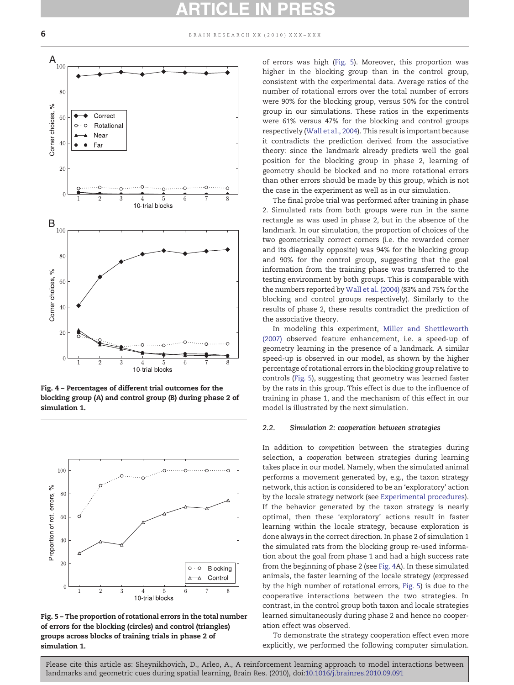<span id="page-5-0"></span>

Fig. 4 – Percentages of different trial outcomes for the blocking group (A) and control group (B) during phase 2 of simulation 1.



Fig. 5 – The proportion of rotational errors in the total number of errors for the blocking (circles) and control (triangles) groups across blocks of training trials in phase 2 of simulation 1.

of errors was high (Fig. 5). Moreover, this proportion was higher in the blocking group than in the control group, consistent with the experimental data. Average ratios of the number of rotational errors over the total number of errors were 90% for the blocking group, versus 50% for the control group in our simulations. These ratios in the experiments were 61% versus 47% for the blocking and control groups respectively [\(Wall et al., 2004](#page-12-0)). This result is important because it contradicts the prediction derived from the associative theory: since the landmark already predicts well the goal position for the blocking group in phase 2, learning of geometry should be blocked and no more rotational errors than other errors should be made by this group, which is not the case in the experiment as well as in our simulation.

The final probe trial was performed after training in phase 2. Simulated rats from both groups were run in the same rectangle as was used in phase 2, but in the absence of the landmark. In our simulation, the proportion of choices of the two geometrically correct corners (i.e. the rewarded corner and its diagonally opposite) was 94% for the blocking group and 90% for the control group, suggesting that the goal information from the training phase was transferred to the testing environment by both groups. This is comparable with the numbers reported by [Wall et al. \(2004\)](#page-12-0) (83% and 75% for the blocking and control groups respectively). Similarly to the results of phase 2, these results contradict the prediction of the associative theory.

In modeling this experiment, [Miller and Shettleworth](#page-12-0) [\(2007\)](#page-12-0) observed feature enhancement, i.e. a speed-up of geometry learning in the presence of a landmark. A similar speed-up is observed in our model, as shown by the higher percentage of rotational errors in the blocking group relative to controls (Fig. 5), suggesting that geometry was learned faster by the rats in this group. This effect is due to the influence of training in phase 1, and the mechanism of this effect in our model is illustrated by the next simulation.

# 2.2. Simulation 2: cooperation between strategies

In addition to competition between the strategies during selection, a cooperation between strategies during learning takes place in our model. Namely, when the simulated animal performs a movement generated by, e.g., the taxon strategy network, this action is considered to be an 'exploratory' action by the locale strategy network (see [Experimental procedures\)](#page-9-0). If the behavior generated by the taxon strategy is nearly optimal, then these 'exploratory' actions result in faster learning within the locale strategy, because exploration is done always in the correct direction. In phase 2 of simulation 1 the simulated rats from the blocking group re-used information about the goal from phase 1 and had a high success rate from the beginning of phase 2 (see Fig. 4A). In these simulated animals, the faster learning of the locale strategy (expressed by the high number of rotational errors, Fig. 5) is due to the cooperative interactions between the two strategies. In contrast, in the control group both taxon and locale strategies learned simultaneously during phase 2 and hence no cooperation effect was observed.

To demonstrate the strategy cooperation effect even more explicitly, we performed the following computer simulation.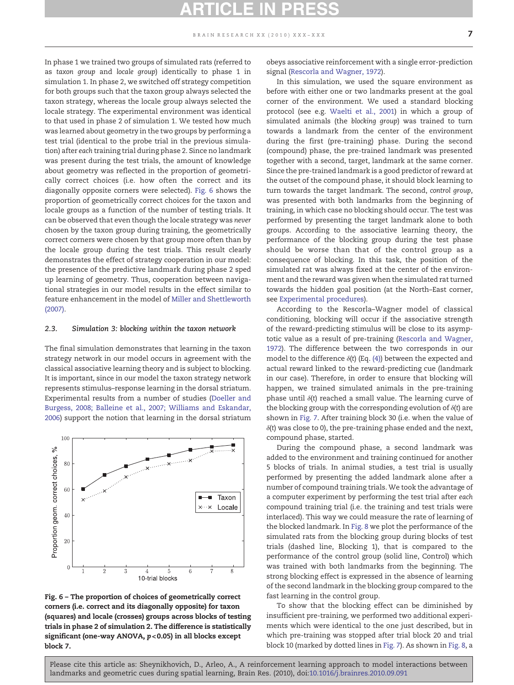In phase 1 we trained two groups of simulated rats (referred to as taxon group and locale group) identically to phase 1 in simulation 1. In phase 2, we switched off strategy competition for both groups such that the taxon group always selected the taxon strategy, whereas the locale group always selected the locale strategy. The experimental environment was identical to that used in phase 2 of simulation 1. We tested how much was learned about geometry in the two groups by performing a test trial (identical to the probe trial in the previous simulation) after each training trial during phase 2. Since no landmark was present during the test trials, the amount of knowledge about geometry was reflected in the proportion of geometrically correct choices (i.e. how often the correct and its diagonally opposite corners were selected). Fig. 6 shows the proportion of geometrically correct choices for the taxon and locale groups as a function of the number of testing trials. It can be observed that even though the locale strategy was never chosen by the taxon group during training, the geometrically correct corners were chosen by that group more often than by the locale group during the test trials. This result clearly demonstrates the effect of strategy cooperation in our model: the presence of the predictive landmark during phase 2 sped up learning of geometry. Thus, cooperation between navigational strategies in our model results in the effect similar to feature enhancement in the model of [Miller and Shettleworth](#page-12-0) [\(2007\)](#page-12-0).

### 2.3. Simulation 3: blocking within the taxon network

The final simulation demonstrates that learning in the taxon strategy network in our model occurs in agreement with the classical associative learning theory and is subject to blocking. It is important, since in our model the taxon strategy network represents stimulus–response learning in the dorsal striatum. Experimental results from a number of studies [\(Doeller and](#page-12-0) [Burgess, 2008; Balleine et al., 2007; Williams and Eskandar,](#page-12-0) [2006](#page-12-0)) support the notion that learning in the dorsal striatum



Fig. 6 – The proportion of choices of geometrically correct corners (i.e. correct and its diagonally opposite) for taxon (squares) and locale (crosses) groups across blocks of testing trials in phase 2 of simulation 2. The difference is statistically significant (one-way ANOVA, p< 0.05) in all blocks except block 7.

obeys associative reinforcement with a single error-prediction signal ([Rescorla and Wagner, 1972\)](#page-12-0).

In this simulation, we used the square environment as before with either one or two landmarks present at the goal corner of the environment. We used a standard blocking protocol (see e.g. [Waelti et al., 2001](#page-12-0)) in which a group of simulated animals (the blocking group) was trained to turn towards a landmark from the center of the environment during the first (pre-training) phase. During the second (compound) phase, the pre-trained landmark was presented together with a second, target, landmark at the same corner. Since the pre-trained landmark is a good predictor of reward at the outset of the compound phase, it should block learning to turn towards the target landmark. The second, control group, was presented with both landmarks from the beginning of training, in which case no blocking should occur. The test was performed by presenting the target landmark alone to both groups. According to the associative learning theory, the performance of the blocking group during the test phase should be worse than that of the control group as a consequence of blocking. In this task, the position of the simulated rat was always fixed at the center of the environment and the reward was given when the simulated rat turned towards the hidden goal position (at the North–East corner, see [Experimental procedures\)](#page-9-0).

According to the Rescorla–Wagner model of classical conditioning, blocking will occur if the associative strength of the reward-predicting stimulus will be close to its asymptotic value as a result of pre-training ([Rescorla and Wagner,](#page-12-0) [1972](#page-12-0)). The difference between the two corresponds in our model to the difference  $\delta(t)$  (Eq. [\(4\)](#page-11-0)) between the expected and actual reward linked to the reward-predicting cue (landmark in our case). Therefore, in order to ensure that blocking will happen, we trained simulated animals in the pre-training phase until  $\delta(t)$  reached a small value. The learning curve of the blocking group with the corresponding evolution of  $\delta(t)$  are shown in [Fig. 7.](#page-7-0) After training block 30 (i.e. when the value of  $\delta(t)$  was close to 0), the pre-training phase ended and the next, compound phase, started.

During the compound phase, a second landmark was added to the environment and training continued for another 5 blocks of trials. In animal studies, a test trial is usually performed by presenting the added landmark alone after a number of compound training trials. We took the advantage of a computer experiment by performing the test trial after each compound training trial (i.e. the training and test trials were interlaced). This way we could measure the rate of learning of the blocked landmark. In [Fig. 8](#page-7-0) we plot the performance of the simulated rats from the blocking group during blocks of test trials (dashed line, Blocking 1), that is compared to the performance of the control group (solid line, Control) which was trained with both landmarks from the beginning. The strong blocking effect is expressed in the absence of learning of the second landmark in the blocking group compared to the fast learning in the control group.

To show that the blocking effect can be diminished by insufficient pre-training, we performed two additional experiments which were identical to the one just described, but in which pre-training was stopped after trial block 20 and trial block 10 (marked by dotted lines in [Fig. 7\)](#page-7-0). As shown in [Fig. 8](#page-7-0), a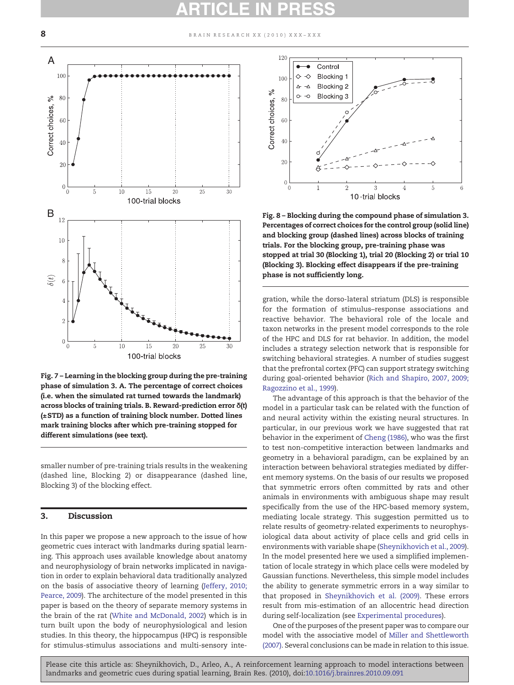<span id="page-7-0"></span>

Fig. 7 – Learning in the blocking group during the pre-training phase of simulation 3. A. The percentage of correct choices (i.e. when the simulated rat turned towards the landmark) across blocks of training trials. B. Reward-prediction error δ(t) (±STD) as a function of training block number. Dotted lines mark training blocks after which pre-training stopped for different simulations (see text).

smaller number of pre-training trials results in the weakening (dashed line, Blocking 2) or disappearance (dashed line, Blocking 3) of the blocking effect.

# 3. Discussion

In this paper we propose a new approach to the issue of how geometric cues interact with landmarks during spatial learning. This approach uses available knowledge about anatomy and neurophysiology of brain networks implicated in navigation in order to explain behavioral data traditionally analyzed on the basis of associative theory of learning [\(Jeffery, 2010;](#page-12-0) [Pearce, 2009\)](#page-12-0). The architecture of the model presented in this paper is based on the theory of separate memory systems in the brain of the rat ([White and McDonald, 2002](#page-12-0)) which is in turn built upon the body of neurophysiological and lesion studies. In this theory, the hippocampus (HPC) is responsible for stimulus-stimulus associations and multi-sensory inte-



Fig. 8 – Blocking during the compound phase of simulation 3. Percentages of correct choices for the control group (solid line) and blocking group (dashed lines) across blocks of training trials. For the blocking group, pre-training phase was stopped at trial 30 (Blocking 1), trial 20 (Blocking 2) or trial 10 (Blocking 3). Blocking effect disappears if the pre-training phase is not sufficiently long.

gration, while the dorso-lateral striatum (DLS) is responsible for the formation of stimulus–response associations and reactive behavior. The behavioral role of the locale and taxon networks in the present model corresponds to the role of the HPC and DLS for rat behavior. In addition, the model includes a strategy selection network that is responsible for switching behavioral strategies. A number of studies suggest that the prefrontal cortex (PFC) can support strategy switching during goal-oriented behavior ([Rich and Shapiro, 2007, 2009;](#page-12-0) [Ragozzino et al., 1999\)](#page-12-0).

The advantage of this approach is that the behavior of the model in a particular task can be related with the function of and neural activity within the existing neural structures. In particular, in our previous work we have suggested that rat behavior in the experiment of [Cheng \(1986\),](#page-12-0) who was the first to test non-competitive interaction between landmarks and geometry in a behavioral paradigm, can be explained by an interaction between behavioral strategies mediated by different memory systems. On the basis of our results we proposed that symmetric errors often committed by rats and other animals in environments with ambiguous shape may result specifically from the use of the HPC-based memory system, mediating locale strategy. This suggestion permitted us to relate results of geometry-related experiments to neurophysiological data about activity of place cells and grid cells in environments with variable shape ([Sheynikhovich et al., 2009\)](#page-12-0). In the model presented here we used a simplified implementation of locale strategy in which place cells were modeled by Gaussian functions. Nevertheless, this simple model includes the ability to generate symmetric errors in a way similar to that proposed in [Sheynikhovich et al. \(2009\)](#page-12-0). These errors result from mis-estimation of an allocentric head direction during self-localization (see [Experimental procedures](#page-9-0)).

One of the purposes of the present paper was to compare our model with the associative model of [Miller and Shettleworth](#page-12-0) [\(2007\)](#page-12-0). Several conclusions can be made in relation to this issue.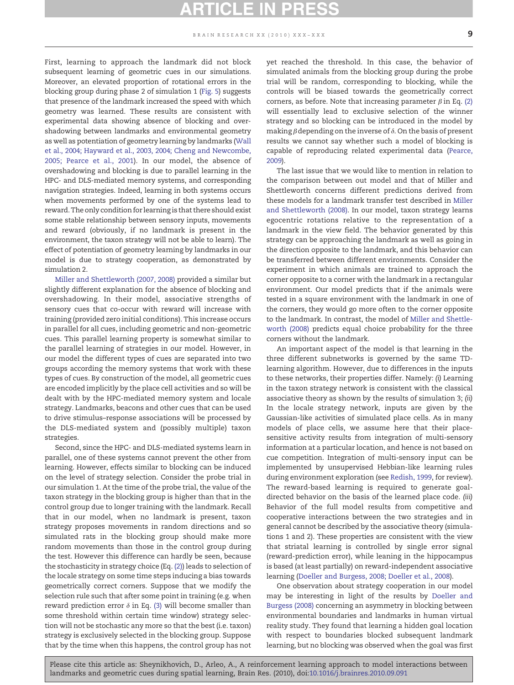First, learning to approach the landmark did not block subsequent learning of geometric cues in our simulations. Moreover, an elevated proportion of rotational errors in the blocking group during phase 2 of simulation 1 ([Fig. 5](#page-5-0)) suggests that presence of the landmark increased the speed with which geometry was learned. These results are consistent with experimental data showing absence of blocking and overshadowing between landmarks and environmental geometry as well as potentiation of geometry learning by landmarks [\(Wall](#page-12-0) [et al., 2004; Hayward et al., 2003, 2004; Cheng and Newcombe,](#page-12-0) [2005; Pearce et al., 2001\)](#page-12-0). In our model, the absence of overshadowing and blocking is due to parallel learning in the HPC- and DLS-mediated memory systems, and corresponding navigation strategies. Indeed, learning in both systems occurs when movements performed by one of the systems lead to reward. The only condition for learning is that there should exist some stable relationship between sensory inputs, movements and reward (obviously, if no landmark is present in the environment, the taxon strategy will not be able to learn). The effect of potentiation of geometry learning by landmarks in our model is due to strategy cooperation, as demonstrated by simulation 2.

[Miller and Shettleworth \(2007, 2008\)](#page-12-0) provided a similar but slightly different explanation for the absence of blocking and overshadowing. In their model, associative strengths of sensory cues that co-occur with reward will increase with training (provided zero initial conditions). This increase occurs in parallel for all cues, including geometric and non-geometric cues. This parallel learning property is somewhat similar to the parallel learning of strategies in our model. However, in our model the different types of cues are separated into two groups according the memory systems that work with these types of cues. By construction of the model, all geometric cues are encoded implicitly by the place cell activities and so will be dealt with by the HPC-mediated memory system and locale strategy. Landmarks, beacons and other cues that can be used to drive stimulus–response associations will be processed by the DLS-mediated system and (possibly multiple) taxon strategies.

Second, since the HPC- and DLS-mediated systems learn in parallel, one of these systems cannot prevent the other from learning. However, effects similar to blocking can be induced on the level of strategy selection. Consider the probe trial in our simulation 1. At the time of the probe trial, the value of the taxon strategy in the blocking group is higher than that in the control group due to longer training with the landmark. Recall that in our model, when no landmark is present, taxon strategy proposes movements in random directions and so simulated rats in the blocking group should make more random movements than those in the control group during the test. However this difference can hardly be seen, because the stochasticity in strategy choice (Eq. [\(2\)](#page-11-0)) leads to selection of the locale strategy on some time steps inducing a bias towards geometrically correct corners. Suppose that we modify the selection rule such that after some point in training (e.g. when reward prediction error  $\delta$  in Eq. [\(3\)](#page-11-0) will become smaller than some threshold within certain time window) strategy selection will not be stochastic any more so that the best (i.e. taxon) strategy is exclusively selected in the blocking group. Suppose that by the time when this happens, the control group has not

yet reached the threshold. In this case, the behavior of simulated animals from the blocking group during the probe trial will be random, corresponding to blocking, while the controls will be biased towards the geometrically correct corners, as before. Note that increasing parameter  $\beta$  in Eq. [\(2\)](#page-11-0) will essentially lead to exclusive selection of the winner strategy and so blocking can be introduced in the model by making  $\beta$  depending on the inverse of  $\delta$ . On the basis of present results we cannot say whether such a model of blocking is capable of reproducing related experimental data ([Pearce,](#page-12-0) [2009](#page-12-0)).

The last issue that we would like to mention in relation to the comparison between out model and that of Miller and Shettleworth concerns different predictions derived from these models for a landmark transfer test described in [Miller](#page-12-0) [and Shettleworth \(2008\).](#page-12-0) In our model, taxon strategy learns egocentric rotations relative to the representation of a landmark in the view field. The behavior generated by this strategy can be approaching the landmark as well as going in the direction opposite to the landmark, and this behavior can be transferred between different environments. Consider the experiment in which animals are trained to approach the corner opposite to a corner with the landmark in a rectangular environment. Our model predicts that if the animals were tested in a square environment with the landmark in one of the corners, they would go more often to the corner opposite to the landmark. In contrast, the model of [Miller and Shettle](#page-12-0)[worth \(2008\)](#page-12-0) predicts equal choice probability for the three corners without the landmark.

An important aspect of the model is that learning in the three different subnetworks is governed by the same TDlearning algorithm. However, due to differences in the inputs to these networks, their properties differ. Namely: (i) Learning in the taxon strategy network is consistent with the classical associative theory as shown by the results of simulation 3; (ii) In the locale strategy network, inputs are given by the Gaussian-like activities of simulated place cells. As in many models of place cells, we assume here that their placesensitive activity results from integration of multi-sensory information at a particular location, and hence is not based on cue competition. Integration of multi-sensory input can be implemented by unsupervised Hebbian-like learning rules during environment exploration (see [Redish, 1999](#page-12-0), for review). The reward-based learning is required to generate goaldirected behavior on the basis of the learned place code. (iii) Behavior of the full model results from competitive and cooperative interactions between the two strategies and in general cannot be described by the associative theory (simulations 1 and 2). These properties are consistent with the view that striatal learning is controlled by single error signal (reward-prediction error), while leaning in the hippocampus is based (at least partially) on reward-independent associative learning ([Doeller and Burgess, 2008; Doeller et al., 2008](#page-12-0)).

One observation about strategy cooperation in our model may be interesting in light of the results by [Doeller and](#page-12-0) [Burgess \(2008\)](#page-12-0) concerning an asymmetry in blocking between environmental boundaries and landmarks in human virtual reality study. They found that learning a hidden goal location with respect to boundaries blocked subsequent landmark learning, but no blocking was observed when the goal was first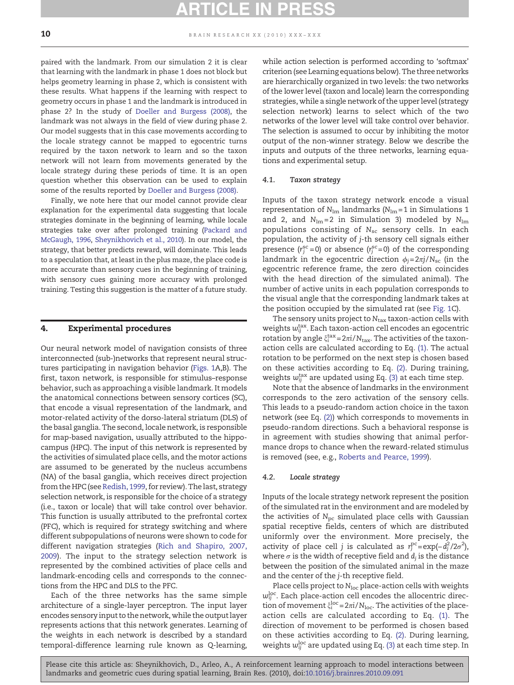<span id="page-9-0"></span>paired with the landmark. From our simulation 2 it is clear that learning with the landmark in phase 1 does not block but helps geometry learning in phase 2, which is consistent with these results. What happens if the learning with respect to geometry occurs in phase 1 and the landmark is introduced in phase 2? In the study of [Doeller and Burgess \(2008\),](#page-12-0) the landmark was not always in the field of view during phase 2. Our model suggests that in this case movements according to the locale strategy cannot be mapped to egocentric turns required by the taxon network to learn and so the taxon network will not learn from movements generated by the locale strategy during these periods of time. It is an open question whether this observation can be used to explain some of the results reported by [Doeller and Burgess \(2008\).](#page-12-0)

Finally, we note here that our model cannot provide clear explanation for the experimental data suggesting that locale strategies dominate in the beginning of learning, while locale strategies take over after prolonged training [\(Packard and](#page-12-0) [McGaugh, 1996](#page-12-0), [Sheynikhovich et al., 2010\)](#page-12-0). In our model, the strategy, that better predicts reward, will dominate. This leads to a speculation that, at least in the plus maze, the place code is more accurate than sensory cues in the beginning of training, with sensory cues gaining more accuracy with prolonged training. Testing this suggestion is the matter of a future study.

### 4. Experimental procedures

Our neural network model of navigation consists of three interconnected (sub-)networks that represent neural structures participating in navigation behavior ([Figs. 1](#page-2-0)A,B). The first, taxon network, is responsible for stimulus–response behavior, such as approaching a visible landmark. It models the anatomical connections between sensory cortices (SC), that encode a visual representation of the landmark, and motor-related activity of the dorso-lateral striatum (DLS) of the basal ganglia. The second, locale network, is responsible for map-based navigation, usually attributed to the hippocampus (HPC). The input of this network is represented by the activities of simulated place cells, and the motor actions are assumed to be generated by the nucleus accumbens (NA) of the basal ganglia, which receives direct projection from the HPC (see [Redish, 1999](#page-12-0), for review). The last, strategy selection network, is responsible for the choice of a strategy (i.e., taxon or locale) that will take control over behavior. This function is usually attributed to the prefrontal cortex (PFC), which is required for strategy switching and where different subpopulations of neurons were shown to code for different navigation strategies [\(Rich and Shapiro, 2007,](#page-12-0) [2009](#page-12-0)). The input to the strategy selection network is represented by the combined activities of place cells and landmark-encoding cells and corresponds to the connections from the HPC and DLS to the PFC.

Each of the three networks has the same simple architecture of a single-layer perceptron. The input layer encodes sensory input to the network, while the output layer represents actions that this network generates. Learning of the weights in each network is described by a standard temporal-difference learning rule known as Q-learning,

while action selection is performed according to 'softmax' criterion (see Learning equations below). The three networks are hierarchically organized in two levels: the two networks of the lower level (taxon and locale) learn the corresponding strategies, while a single network of the upper level (strategy selection network) learns to select which of the two networks of the lower level will take control over behavior. The selection is assumed to occur by inhibiting the motor output of the non-winner strategy. Below we describe the inputs and outputs of the three networks, learning equations and experimental setup.

## 4.1. Taxon strategy

Inputs of the taxon strategy network encode a visual representation of  $N_{lm}$  landmarks ( $N_{lm}$ =1 in Simulations 1 and 2, and  $N_{lm} = 2$  in Simulation 3) modeled by  $N_{lm}$ populations consisting of  $N_{\rm sc}$  sensory cells. In each population, the activity of j-th sensory cell signals either presence ( $r_j^{\text{sc}} = 0$ ) or absence ( $r_j^{\text{sc}} = 0$ ) of the corresponding landmark in the egocentric direction  $\phi_i = 2\pi j/N_{\rm sc}$  (in the egocentric reference frame, the zero direction coincides with the head direction of the simulated animal). The number of active units in each population corresponds to the visual angle that the corresponding landmark takes at the position occupied by the simulated rat (see [Fig. 1](#page-2-0)C).

The sensory units project to  $N_{\text{tax}}$  taxon-action cells with weights  $w_{ij}^{\text{tax}}$ . Each taxon-action cell encodes an egocentric rotation by angle  $\xi_i^{\text{tax}} = 2\pi i/N_{\text{tax}}$ . The activities of the taxonaction cells are calculated according to Eq. [\(1\)](#page-10-0). The actual rotation to be performed on the next step is chosen based on these activities according to Eq. [\(2\).](#page-11-0) During training, weights  $w_{ij}^{\text{tax}}$  are updated using Eq. [\(3\)](#page-11-0) at each time step.

Note that the absence of landmarks in the environment corresponds to the zero activation of the sensory cells. This leads to a pseudo-random action choice in the taxon network (see Eq. [\(2\)](#page-11-0)) which corresponds to movements in pseudo-random directions. Such a behavioral response is in agreement with studies showing that animal performance drops to chance when the reward-related stimulus is removed (see, e.g., [Roberts and Pearce, 1999](#page-12-0)).

## 4.2. Locale strategy

Inputs of the locale strategy network represent the position of the simulated rat in the environment and are modeled by the activities of  $N_{pc}$  simulated place cells with Gaussian spatial receptive fields, centers of which are distributed uniformly over the environment. More precisely, the activity of place cell *j* is calculated as  $r_f^{\text{pc}} = \exp(-d_f^2/2\sigma^2)$ , where  $\sigma$  is the width of receptive field and  $d_i$  is the distance between the position of the simulated animal in the maze and the center of the j-th receptive field.

Place cells project to  $N_{loc}$  place-action cells with weights  $w_{ij}^{\rm loc.}$  Each place-action cell encodes the allocentric direction of movement  $\xi_i^{loc} = 2\pi i / N_{loc}$ . The activities of the placeaction cells are calculated according to Eq. [\(1\)](#page-10-0). The direction of movement to be performed is chosen based on these activities according to Eq. [\(2\).](#page-11-0) During learning, weights  $w_{ij}^{\mathrm{loc}}$  are updated using Eq. [\(3\)](#page-11-0) at each time step. In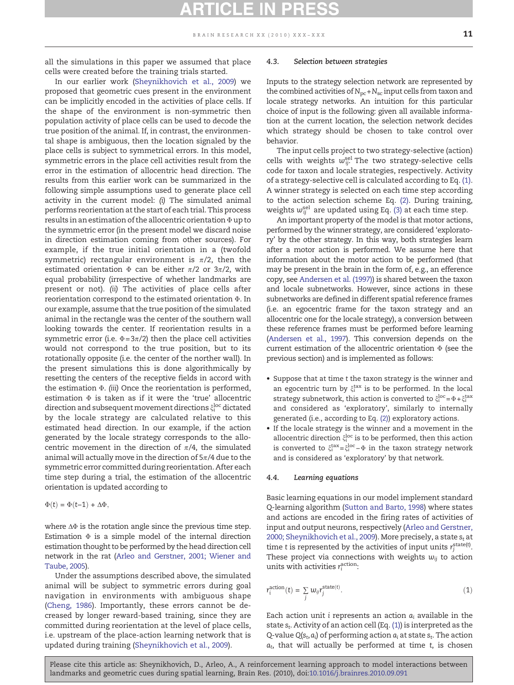<span id="page-10-0"></span>all the simulations in this paper we assumed that place cells were created before the training trials started.

In our earlier work [\(Sheynikhovich et al., 2009](#page-12-0)) we proposed that geometric cues present in the environment can be implicitly encoded in the activities of place cells. If the shape of the environment is non-symmetric then population activity of place cells can be used to decode the true position of the animal. If, in contrast, the environmental shape is ambiguous, then the location signaled by the place cells is subject to symmetrical errors. In this model, symmetric errors in the place cell activities result from the error in the estimation of allocentric head direction. The results from this earlier work can be summarized in the following simple assumptions used to generate place cell activity in the current model: (i) The simulated animal performs reorientation at the start of each trial. This process results in an estimation of the allocentric orientation Φ up to the symmetric error (in the present model we discard noise in direction estimation coming from other sources). For example, if the true initial orientation in a (twofold symmetric) rectangular environment is  $\pi/2$ , then the estimated orientation  $\Phi$  can be either  $\pi/2$  or  $3\pi/2$ , with equal probability (irrespective of whether landmarks are present or not). (ii) The activities of place cells after reorientation correspond to the estimated orientation Φ. In our example, assume that the true position of the simulated animal in the rectangle was the center of the southern wall looking towards the center. If reorientation results in a symmetric error (i.e.  $\Phi = 3\pi/2$ ) then the place cell activities would not correspond to the true position, but to its rotationally opposite (i.e. the center of the norther wall). In the present simulations this is done algorithmically by resetting the centers of the receptive fields in accord with the estimation Φ. (iii) Once the reorientation is performed, estimation Φ is taken as if it were the 'true' allocentric direction and subsequent movement directions  $\xi^{\rm loc}_{\rm i}$  dictated by the locale strategy are calculated relative to this estimated head direction. In our example, if the action generated by the locale strategy corresponds to the allocentric movement in the direction of  $\pi/4$ , the simulated animal will actually move in the direction of  $5\pi/4$  due to the symmetric error committed during reorientation. After each time step during a trial, the estimation of the allocentric orientation is updated according to

 $\Phi(t) = \Phi(t-1) + \Delta \Phi,$ 

where  $\Delta\Phi$  is the rotation angle since the previous time step. Estimation  $\Phi$  is a simple model of the internal direction estimation thought to be performed by the head direction cell network in the rat ([Arleo and Gerstner, 2001; Wiener and](#page-12-0) [Taube, 2005\)](#page-12-0).

Under the assumptions described above, the simulated animal will be subject to symmetric errors during goal navigation in environments with ambiguous shape ([Cheng, 1986\)](#page-12-0). Importantly, these errors cannot be decreased by longer reward-based training, since they are committed during reorientation at the level of place cells, i.e. upstream of the place-action learning network that is updated during training [\(Sheynikhovich et al., 2009](#page-12-0)).

## 4.3. Selection between strategies

Inputs to the strategy selection network are represented by the combined activities of  $N_{pc}+N_{sc}$  input cells from taxon and locale strategy networks. An intuition for this particular choice of input is the following: given all available information at the current location, the selection network decides which strategy should be chosen to take control over behavior.

The input cells project to two strategy-selective (action) cells with weights  $w_{ij}^{\mathrm{sel}}$  The two strategy-selective cells code for taxon and locale strategies, respectively. Activity of a strategy-selective cell is calculated according to Eq. (1). A winner strategy is selected on each time step according to the action selection scheme Eq. [\(2\).](#page-11-0) During training, weights  $w_{ij}^{\rm sel}$  are updated using Eq. [\(3\)](#page-11-0) at each time step.

An important property of the model is that motor actions, performed by the winner strategy, are considered 'exploratory' by the other strategy. In this way, both strategies learn after a motor action is performed. We assume here that information about the motor action to be performed (that may be present in the brain in the form of, e.g., an efference copy, see [Andersen et al. \(1997\)](#page-11-0)) is shared between the taxon and locale subnetworks. However, since actions in these subnetworks are defined in different spatial reference frames (i.e. an egocentric frame for the taxon strategy and an allocentric one for the locale strategy), a conversion between these reference frames must be performed before learning [\(Andersen et al., 1997\)](#page-11-0). This conversion depends on the current estimation of the allocentric orientation  $\Phi$  (see the previous section) and is implemented as follows:

- Suppose that at time t the taxon strategy is the winner and an egocentric turn by  $\xi_i^{\text{tax}}$  is to be performed. In the local strategy subnetwork, this action is converted to  $\xi_i^{\text{loc}} = \Phi + \xi_i^{\text{tax}}$ and considered as 'exploratory', similarly to internally generated (i.e., according to Eq. [\(2\)](#page-11-0)) exploratory actions.
- If the locale strategy is the winner and a movement in the allocentric direction  $\xi_i^{\text{loc}}$  is to be performed, then this action is converted to  $\xi_i^{\text{tax}} = \xi_i^{\text{loc}} - \Phi$  in the taxon strategy network and is considered as 'exploratory' by that network.

### 4.4. Learning equations

Basic learning equations in our model implement standard Q-learning algorithm [\(Sutton and Barto, 1998](#page-12-0)) where states and actions are encoded in the firing rates of activities of input and output neurons, respectively ([Arleo and Gerstner,](#page-12-0) [2000; Sheynikhovich et al., 2009\)](#page-12-0). More precisely, a state  $s_t$  at time t is represented by the activities of input units  $r^{\text{state}(t)}_j$ . These project via connections with weights  $w_{ii}$  to action units with activities  $r_i^{\text{action}}$ :

$$
r_i^{\text{action}}(t) = \sum_j w_{ij} r_j^{\text{state}(t)}.
$$
\n(1)

Each action unit i represents an action  $a_i$  available in the state  $s_t$ . Activity of an action cell (Eq. (1)) is interpreted as the Q-value  $Q(s_t, a_i)$  of performing action  $a_i$  at state  $s_t$ . The action  $a_t$ , that will actually be performed at time t, is chosen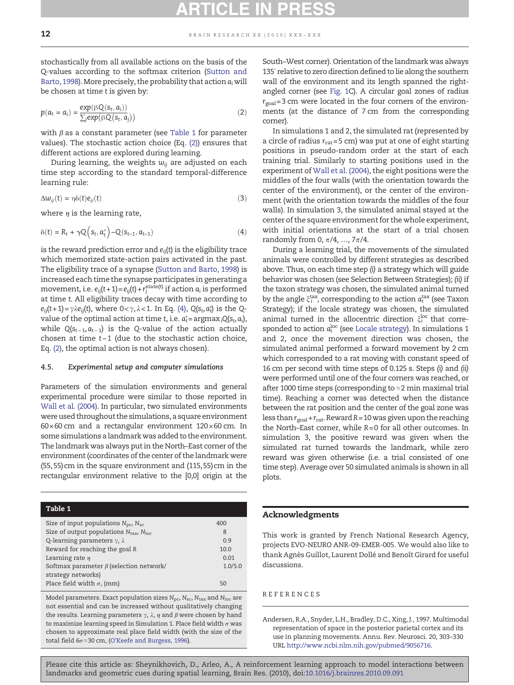# <span id="page-11-0"></span>stochastically from all available actions on the basis of the **12** BRAIN RESEARCH XX (2010) XXX-XXX

Q-values according to the softmax criterion [\(Sutton and](#page-12-0) [Barto, 1998\)](#page-12-0). More precisely, the probability that action  $a_i$  will be chosen at time t is given by:

$$
p(a_t = a_i) = \frac{\exp(\beta Q(s_t, a_i))}{\sum_j \exp(\beta Q(s_t, a_j))}
$$
\n(2)

with  $\beta$  as a constant parameter (see Table 1 for parameter values). The stochastic action choice (Eq. (2)) ensures that different actions are explored during learning.

During learning, the weights  $w_{ij}$  are adjusted on each time step according to the standard temporal-difference learning rule:

$$
\Delta w_{ij}(t) = \eta \delta(t) e_{ij}(t) \tag{3}
$$

where  $\eta$  is the learning rate,

$$
\delta(t) = R_t + \gamma Q(s_t, a_t^*) - Q(s_{t-1}, a_{t-1})
$$
\n
$$
(4)
$$

is the reward prediction error and  $e_{ii}(t)$  is the eligibility trace which memorized state-action pairs activated in the past. The eligibility trace of a synapse [\(Sutton and Barto, 1998\)](#page-12-0) is increased each time the synapse participates in generating a movement, i.e.  $e_{ij}(t+1)\!=\!e_{ij}(t)\!+\!r^{\text{state}(t)}_j$  if action  $a_i$  is performed at time t. All eligibility traces decay with time according to  $e_{ij}(t+1)$ =γλ $e_{ij}(t)$ , where 0<γ,λ<1. In Eq. (4), Q(s<sub>t</sub>, at) is the Qvalue of the optimal action at time t, i.e.  $a_t^*$ =argmax ${}_{i}Q(s_t, a_i)$ , while  $Q(s_{t-1}, a_{t-1})$  is the Q-value of the action actually chosen at time t−1 (due to the stochastic action choice, Eq. (2), the optimal action is not always chosen).

### 4.5. Experimental setup and computer simulations

Parameters of the simulation environments and general experimental procedure were similar to those reported in [Wall et al. \(2004\).](#page-12-0) In particular, two simulated environments were used throughout the simulations, a square environment  $60\times60$  cm and a rectangular environment  $120\times60$  cm. In some simulations a landmark was added to the environment. The landmark was always put in the North–East corner of the environment (coordinates of the center of the landmark were (55,55)cm in the square environment and (115,55)cm in the rectangular environment relative to the [0,0] origin at the

| Table 1                                                        |         |
|----------------------------------------------------------------|---------|
| Size of input populations $N_{\text{nc}}$ , $N_{\text{sc}}$    | 400     |
| Size of output populations $N_{\text{tax}}$ , $N_{\text{loc}}$ | 8       |
| Q-learning parameters $\gamma$ , $\lambda$                     | 09      |
| Reward for reaching the goal R                                 | 10.0    |
| Learning rate $\eta$                                           | 0.01    |
| Softmax parameter $\beta$ (selection network/                  | 1.0/5.0 |
| strategy networks)                                             |         |
| Place field width $\sigma$ , (mm)                              | 50      |
|                                                                |         |

Model parameters. Exact population sizes  $N_{\text{pc}}$ ,  $N_{\text{sc}}$ ,  $N_{\text{tax}}$  and  $N_{\text{loc}}$  are not essential and can be increased without qualitatively changing the results. Learning parameters  $γ$ ,  $λ$ ,  $η$  and  $β$  were chosen by hand to maximize learning speed in Simulation 1. Place field width  $\sigma$  was chosen to approximate real place field width (with the size of the total field 6σ≈30 cm, [\(O'Keefe and Burgess, 1996](#page-12-0)).

South–West corner). Orientation of the landmark was always 135<sup>∘</sup> relative to zero direction defined to lie along the southern wall of the environment and its length spanned the rightangled corner (see [Fig. 1](#page-2-0)C). A circular goal zones of radius  $r_{\text{goal}}$ =3 cm were located in the four corners of the environments (at the distance of 7 cm from the corresponding corner).

In simulations 1 and 2, the simulated rat (represented by a circle of radius  $r_{\text{rat}}=5$  cm) was put at one of eight starting positions in pseudo-random order at the start of each training trial. Similarly to starting positions used in the experiment of [Wall et al. \(2004\),](#page-12-0) the eight positions were the middles of the four walls (with the orientation towards the center of the environment), or the center of the environment (with the orientation towards the middles of the four walls). In simulation 3, the simulated animal stayed at the center of the square environment for the whole experiment, with initial orientations at the start of a trial chosen randomly from 0,  $\pi/4$ , ...,  $7\pi/4$ .

During a learning trial, the movements of the simulated animals were controlled by different strategies as described above. Thus, on each time step (i) a strategy which will guide behavior was chosen (see Selection Between Strategies); (ii) if the taxon strategy was chosen, the simulated animal turned by the angle  $\xi_i^{\text{tax}}$ , corresponding to the action  $a_t^{\text{tax}}$  (see Taxon Strategy); if the locale strategy was chosen, the simulated animal turned in the allocentric direction  $\xi_i^{\text{loc}}$  that corresponded to action  $a_{t}^{\text{loc}}$  (see [Locale strategy](#page-9-0)). In simulations 1 and 2, once the movement direction was chosen, the simulated animal performed a forward movement by 2 cm which corresponded to a rat moving with constant speed of 16 cm per second with time steps of 0.125 s. Steps (i) and (ii) were performed until one of the four corners was reached, or after 1000 time steps (corresponding to ≈2 min maximal trial time). Reaching a corner was detected when the distance between the rat position and the center of the goal zone was less than  $r_{\text{goal}}+r_{\text{rat}}$ . Reward R=10 was given upon the reaching the North–East corner, while R=0 for all other outcomes. In simulation 3, the positive reward was given when the simulated rat turned towards the landmark, while zero reward was given otherwise (i.e. a trial consisted of one time step). Average over 50 simulated animals is shown in all plots.

# Acknowledgments

This work is granted by French National Research Agency, projects EVO-NEURO ANR-09-EMER-005. We would also like to thank Agnès Guillot, Laurent Dollé and Benoît Girard for useful discussions.

### REFERENCES

Andersen, R.A., Snyder, L.H., Bradley, D.C., Xing, J., 1997. Multimodal representation of space in the posterior parietal cortex and its use in planning movements. Annu. Rev. Neurosci. 20, 303–330 URL <http://www.ncbi.nlm.nih.gov/pubmed/9056716>.